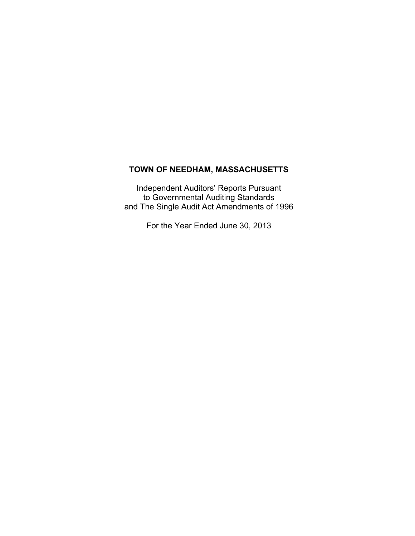# **TOWN OF NEEDHAM, MASSACHUSETTS**

Independent Auditors' Reports Pursuant to Governmental Auditing Standards and The Single Audit Act Amendments of 1996

For the Year Ended June 30, 2013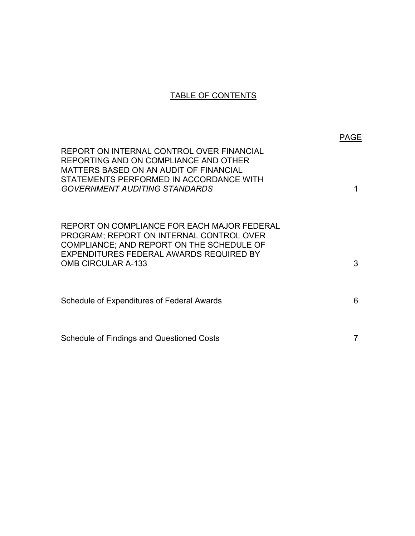# TABLE OF CONTENTS

|                                                                                                                                                                                                                 | <b>PAGE</b> |
|-----------------------------------------------------------------------------------------------------------------------------------------------------------------------------------------------------------------|-------------|
| REPORT ON INTERNAL CONTROL OVER FINANCIAL<br>REPORTING AND ON COMPLIANCE AND OTHER<br>MATTERS BASED ON AN AUDIT OF FINANCIAL<br>STATEMENTS PERFORMED IN ACCORDANCE WITH<br><b>GOVERNMENT AUDITING STANDARDS</b> |             |
| REPORT ON COMPLIANCE FOR EACH MAJOR FEDERAL<br>PROGRAM; REPORT ON INTERNAL CONTROL OVER<br>COMPLIANCE; AND REPORT ON THE SCHEDULE OF<br>EXPENDITURES FEDERAL AWARDS REQUIRED BY<br><b>OMB CIRCULAR A-133</b>    | 3           |
| Schedule of Expenditures of Federal Awards                                                                                                                                                                      | 6           |
| Schedule of Findings and Questioned Costs                                                                                                                                                                       |             |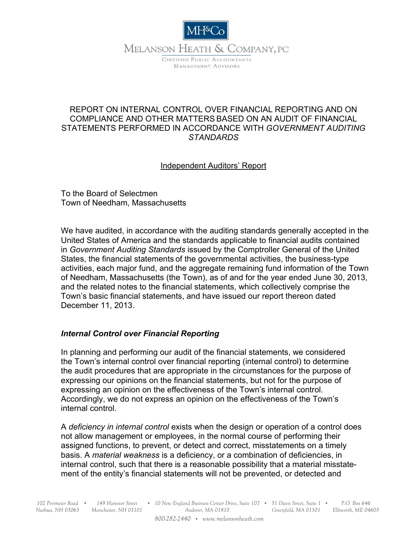

MELANSON HEATH & COMPANY, PC

CERTIFIED PUBLIC ACCOUNTANTS **MANAGEMENT ADVISORS** 

#### REPORT ON INTERNAL CONTROL OVER FINANCIAL REPORTING AND ON COMPLIANCE AND OTHER MATTERS BASED ON AN AUDIT OF FINANCIAL STATEMENTS PERFORMED IN ACCORDANCE WITH *GOVERNMENT AUDITING STANDARDS*

#### Independent Auditors' Report

To the Board of Selectmen Town of Needham, Massachusetts

We have audited, in accordance with the auditing standards generally accepted in the United States of America and the standards applicable to financial audits contained in *Government Auditing Standards* issued by the Comptroller General of the United States, the financial statements of the governmental activities, the business-type activities, each major fund, and the aggregate remaining fund information of the Town of Needham, Massachusetts (the Town), as of and for the year ended June 30, 2013, and the related notes to the financial statements, which collectively comprise the Town's basic financial statements, and have issued our report thereon dated December 11, 2013.

## *Internal Control over Financial Reporting*

In planning and performing our audit of the financial statements, we considered the Town's internal control over financial reporting (internal control) to determine the audit procedures that are appropriate in the circumstances for the purpose of expressing our opinions on the financial statements, but not for the purpose of expressing an opinion on the effectiveness of the Town's internal control. Accordingly, we do not express an opinion on the effectiveness of the Town's internal control.

A *deficiency in internal control* exists when the design or operation of a control does not allow management or employees, in the normal course of performing their assigned functions, to prevent, or detect and correct, misstatements on a timely basis. A *material weakness* is a deficiency, or a combination of deficiencies, in internal control, such that there is a reasonable possibility that a material misstatement of the entity's financial statements will not be prevented, or detected and

*102 Perimeter Road • 149 Hanover Street • 10 New England Business Center Drive, Suite 107 • 51 Davis Street, Suite 1 • P.O. Box 646 Nashua, NH 03063 Manchester, NH 03101 Andover, MA 01810 Greenfield, MA 01301 Ellsworth, ME 04605 800-282-2440 • www.melansonheath.com*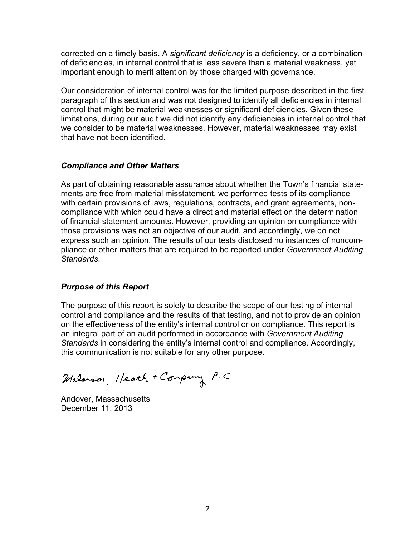corrected on a timely basis. A *significant deficiency* is a deficiency, or a combination of deficiencies, in internal control that is less severe than a material weakness, yet important enough to merit attention by those charged with governance.

Our consideration of internal control was for the limited purpose described in the first paragraph of this section and was not designed to identify all deficiencies in internal control that might be material weaknesses or significant deficiencies. Given these limitations, during our audit we did not identify any deficiencies in internal control that we consider to be material weaknesses. However, material weaknesses may exist that have not been identified.

#### *Compliance and Other Matters*

As part of obtaining reasonable assurance about whether the Town's financial statements are free from material misstatement, we performed tests of its compliance with certain provisions of laws, regulations, contracts, and grant agreements, noncompliance with which could have a direct and material effect on the determination of financial statement amounts. However, providing an opinion on compliance with those provisions was not an objective of our audit, and accordingly, we do not express such an opinion. The results of our tests disclosed no instances of noncompliance or other matters that are required to be reported under *Government Auditing Standards*.

## *Purpose of this Report*

The purpose of this report is solely to describe the scope of our testing of internal control and compliance and the results of that testing, and not to provide an opinion on the effectiveness of the entity's internal control or on compliance. This report is an integral part of an audit performed in accordance with *Government Auditing Standards* in considering the entity's internal control and compliance. Accordingly, this communication is not suitable for any other purpose.

Melonson, Heach + Company P.C.

Andover, Massachusetts December 11, 2013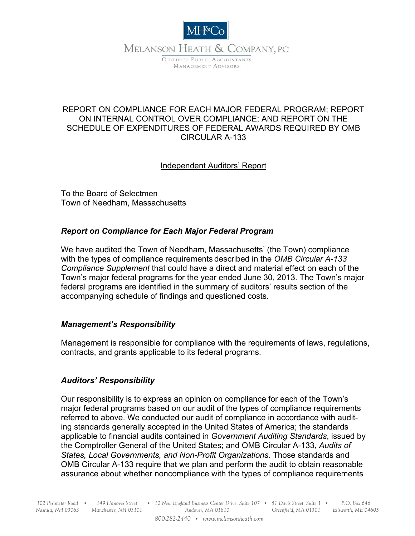

MELANSON HEATH & COMPANY, PC

CERTIFIED PUBLIC ACCOUNTANTS **MANAGEMENT ADVISORS** 

#### REPORT ON COMPLIANCE FOR EACH MAJOR FEDERAL PROGRAM; REPORT ON INTERNAL CONTROL OVER COMPLIANCE; AND REPORT ON THE SCHEDULE OF EXPENDITURES OF FEDERAL AWARDS REQUIRED BY OMB CIRCULAR A-133

## Independent Auditors' Report

To the Board of Selectmen Town of Needham, Massachusetts

## *Report on Compliance for Each Major Federal Program*

We have audited the Town of Needham, Massachusetts' (the Town) compliance with the types of compliance requirements described in the *OMB Circular A-133 Compliance Supplement* that could have a direct and material effect on each of the Town's major federal programs for the year ended June 30, 2013. The Town's major federal programs are identified in the summary of auditors' results section of the accompanying schedule of findings and questioned costs.

#### *Management's Responsibility*

Management is responsible for compliance with the requirements of laws, regulations, contracts, and grants applicable to its federal programs.

## *Auditors' Responsibility*

Our responsibility is to express an opinion on compliance for each of the Town's major federal programs based on our audit of the types of compliance requirements referred to above. We conducted our audit of compliance in accordance with auditing standards generally accepted in the United States of America; the standards applicable to financial audits contained in *Government Auditing Standards*, issued by the Comptroller General of the United States; and OMB Circular A-133, *Audits of States, Local Governments, and Non-Profit Organizations*. Those standards and OMB Circular A-133 require that we plan and perform the audit to obtain reasonable assurance about whether noncompliance with the types of compliance requirements

*102 Perimeter Road • 149 Hanover Street • 10 New England Business Center Drive, Suite 107 • 51 Davis Street, Suite 1 • P.O. Box 646 Nashua, NH 03063 Manchester, NH 03101 Andover, MA 01810 Greenfield, MA 01301 Ellsworth, ME 04605 800-282-2440 • www.melansonheath.com*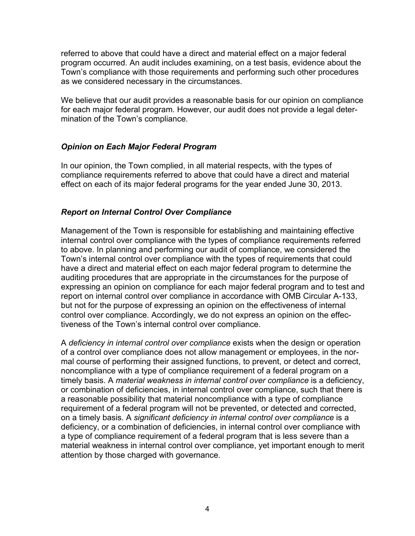referred to above that could have a direct and material effect on a major federal program occurred. An audit includes examining, on a test basis, evidence about the Town's compliance with those requirements and performing such other procedures as we considered necessary in the circumstances.

We believe that our audit provides a reasonable basis for our opinion on compliance for each major federal program. However, our audit does not provide a legal determination of the Town's compliance.

#### *Opinion on Each Major Federal Program*

In our opinion, the Town complied, in all material respects, with the types of compliance requirements referred to above that could have a direct and material effect on each of its major federal programs for the year ended June 30, 2013.

#### *Report on Internal Control Over Compliance*

Management of the Town is responsible for establishing and maintaining effective internal control over compliance with the types of compliance requirements referred to above. In planning and performing our audit of compliance, we considered the Town's internal control over compliance with the types of requirements that could have a direct and material effect on each major federal program to determine the auditing procedures that are appropriate in the circumstances for the purpose of expressing an opinion on compliance for each major federal program and to test and report on internal control over compliance in accordance with OMB Circular A-133, but not for the purpose of expressing an opinion on the effectiveness of internal control over compliance. Accordingly, we do not express an opinion on the effectiveness of the Town's internal control over compliance.

A *deficiency in internal control over compliance* exists when the design or operation of a control over compliance does not allow management or employees, in the normal course of performing their assigned functions, to prevent, or detect and correct, noncompliance with a type of compliance requirement of a federal program on a timely basis. A *material weakness in internal control over compliance* is a deficiency, or combination of deficiencies, in internal control over compliance, such that there is a reasonable possibility that material noncompliance with a type of compliance requirement of a federal program will not be prevented, or detected and corrected, on a timely basis. A *significant deficiency in internal control over compliance* is a deficiency, or a combination of deficiencies, in internal control over compliance with a type of compliance requirement of a federal program that is less severe than a material weakness in internal control over compliance, yet important enough to merit attention by those charged with governance.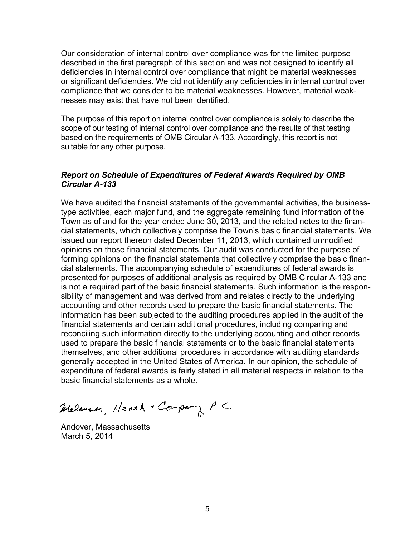Our consideration of internal control over compliance was for the limited purpose described in the first paragraph of this section and was not designed to identify all deficiencies in internal control over compliance that might be material weaknesses or significant deficiencies. We did not identify any deficiencies in internal control over compliance that we consider to be material weaknesses. However, material weaknesses may exist that have not been identified.

The purpose of this report on internal control over compliance is solely to describe the scope of our testing of internal control over compliance and the results of that testing based on the requirements of OMB Circular A-133. Accordingly, this report is not suitable for any other purpose.

#### *Report on Schedule of Expenditures of Federal Awards Required by OMB Circular A-133*

We have audited the financial statements of the governmental activities, the businesstype activities, each major fund, and the aggregate remaining fund information of the Town as of and for the year ended June 30, 2013, and the related notes to the financial statements, which collectively comprise the Town's basic financial statements. We issued our report thereon dated December 11, 2013, which contained unmodified opinions on those financial statements. Our audit was conducted for the purpose of forming opinions on the financial statements that collectively comprise the basic financial statements. The accompanying schedule of expenditures of federal awards is presented for purposes of additional analysis as required by OMB Circular A-133 and is not a required part of the basic financial statements. Such information is the responsibility of management and was derived from and relates directly to the underlying accounting and other records used to prepare the basic financial statements. The information has been subjected to the auditing procedures applied in the audit of the financial statements and certain additional procedures, including comparing and reconciling such information directly to the underlying accounting and other records used to prepare the basic financial statements or to the basic financial statements themselves, and other additional procedures in accordance with auditing standards generally accepted in the United States of America. In our opinion, the schedule of expenditure of federal awards is fairly stated in all material respects in relation to the basic financial statements as a whole.

Melonson, Heach + Company P.C.

Andover, Massachusetts March 5, 2014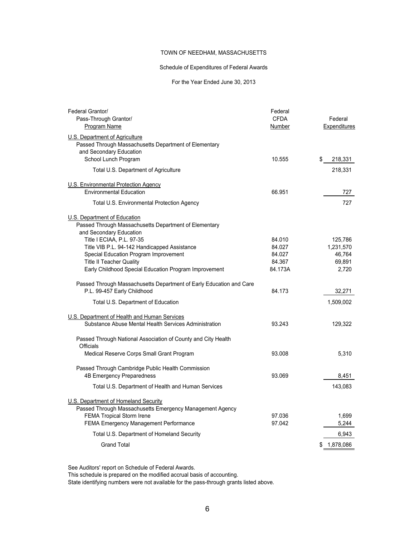#### TOWN OF NEEDHAM, MASSACHUSETTS

#### Schedule of Expenditures of Federal Awards

#### For the Year Ended June 30, 2013

| Federal Grantor/<br>Pass-Through Grantor/                                                                          | Federal<br><b>CFDA</b> | Federal         |
|--------------------------------------------------------------------------------------------------------------------|------------------------|-----------------|
| Program Name                                                                                                       | Number                 | Expenditures    |
| U.S. Department of Agriculture<br>Passed Through Massachusetts Department of Elementary<br>and Secondary Education |                        |                 |
| School Lunch Program                                                                                               | 10.555                 | \$<br>218,331   |
| Total U.S. Department of Agriculture                                                                               |                        | 218,331         |
| U.S. Environmental Protection Agency                                                                               |                        |                 |
| <b>Environmental Education</b>                                                                                     | 66.951                 | 727             |
| <b>Total U.S. Environmental Protection Agency</b>                                                                  |                        | 727             |
| U.S. Department of Education<br>Passed Through Massachusetts Department of Elementary                              |                        |                 |
| and Secondary Education                                                                                            |                        |                 |
| Title I ECIAA, P.L. 97-35                                                                                          | 84.010                 | 125,786         |
| Title VIB P.L. 94-142 Handicapped Assistance                                                                       | 84.027                 | 1,231,570       |
| Special Education Program Improvement                                                                              | 84.027                 | 46,764          |
| <b>Title II Teacher Quality</b>                                                                                    | 84.367                 | 69,891          |
| Early Childhood Special Education Program Improvement                                                              | 84.173A                | 2,720           |
| Passed Through Massachusetts Department of Early Education and Care<br>P.L. 99-457 Early Childhood                 | 84.173                 | 32,271          |
|                                                                                                                    |                        |                 |
| Total U.S. Department of Education                                                                                 |                        | 1,509,002       |
| U.S. Department of Health and Human Services                                                                       |                        |                 |
| Substance Abuse Mental Health Services Administration                                                              | 93.243                 | 129,322         |
| Passed Through National Association of County and City Health<br>Officials                                         |                        |                 |
| Medical Reserve Corps Small Grant Program                                                                          | 93.008                 | 5,310           |
| Passed Through Cambridge Public Health Commission<br>4B Emergency Preparedness                                     | 93.069                 | 8,451           |
| Total U.S. Department of Health and Human Services                                                                 |                        | 143,083         |
| U.S. Department of Homeland Security<br>Passed Through Massachusetts Emergency Management Agency                   |                        |                 |
| <b>FEMA Tropical Storm Irene</b>                                                                                   | 97.036                 | 1,699           |
| FEMA Emergency Management Performance                                                                              | 97.042                 | 5,244           |
| Total U.S. Department of Homeland Security                                                                         |                        | 6,943           |
| <b>Grand Total</b>                                                                                                 |                        | 1,878,086<br>\$ |
|                                                                                                                    |                        |                 |

See Auditors' report on Schedule of Federal Awards.

This schedule is prepared on the modified accrual basis of accounting.

State identifying numbers were not available for the pass-through grants listed above.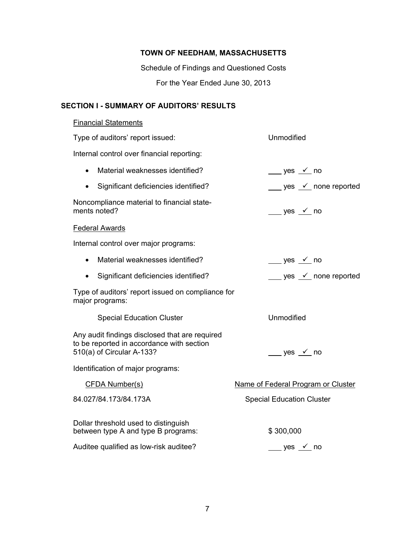#### **TOWN OF NEEDHAM, MASSACHUSETTS**

Schedule of Findings and Questioned Costs

For the Year Ended June 30, 2013

#### **SECTION I - SUMMARY OF AUDITORS' RESULTS**

# Financial Statements Type of auditors' report issued: Unmodified Internal control over financial reporting: • Material weaknesses identified?  $\Box$  yes  $\angle$  no • Significant deficiencies identified? ves  $\checkmark$  none reported Noncompliance material to financial statements noted?  $\qquad \qquad \qquad \qquad \qquad \qquad \qquad \qquad \qquad \text{yes } \neq \text{no}$ Federal Awards Internal control over major programs: • Material weaknesses identified?  $\qquad \qquad \qquad \qquad \qquad \qquad \text{ves } \preceq \text{ no}$ • Significant deficiencies identified? ves  $\checkmark$  none reported Type of auditors' report issued on compliance for major programs: Special Education Cluster **Education** Cluster **Unmodified** Any audit findings disclosed that are required to be reported in accordance with section  $510(a)$  of Circular A-133? yes  $\checkmark$  no Identification of major programs: CFDA Number(s) Name of Federal Program or Cluster 84.027/84.173/84.173A Special Education Cluster Dollar threshold used to distinguish between type A and type B programs:  $$ 300,000$ Auditee qualified as low-risk auditee?  $\Box$  yes  $\angle$  no